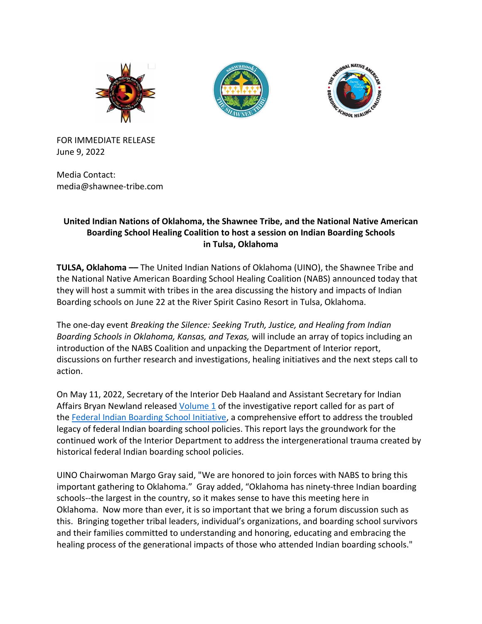





FOR IMMEDIATE RELEASE June 9, 2022

Media Contact: media@shawnee-tribe.com

# **United Indian Nations of Oklahoma, the Shawnee Tribe, and the National Native American Boarding School Healing Coalition to host a session on Indian Boarding Schools in Tulsa, Oklahoma**

**TULSA, Oklahoma ––** The United Indian Nations of Oklahoma (UINO), the Shawnee Tribe and the National Native American Boarding School Healing Coalition (NABS) announced today that they will host a summit with tribes in the area discussing the history and impacts of Indian Boarding schools on June 22 at the River Spirit Casino Resort in Tulsa, Oklahoma.

The one-day event *Breaking the Silence: Seeking Truth, Justice, and Healing from Indian Boarding Schools in Oklahoma, Kansas, and Texas,* will include an array of topics including an introduction of the NABS Coalition and unpacking the Department of Interior report, discussions on further research and investigations, healing initiatives and the next steps call to action.

On May 11, 2022, Secretary of the Interior Deb Haaland and Assistant Secretary for Indian Affairs Bryan Newland released [Volume 1](https://www.bia.gov/sites/default/files/dup/inline-files/bsi_investigative_report_may_2022_508.pdf) of the investigative report called for as part of the [Federal Indian Boarding School Initiative,](https://www.doi.gov/pressreleases/secretary-haaland-announces-federal-indian-boarding-school-initiative) a comprehensive effort to address the troubled legacy of federal Indian boarding school policies. This report lays the groundwork for the continued work of the Interior Department to address the intergenerational trauma created by historical federal Indian boarding school policies.

UINO Chairwoman Margo Gray said, "We are honored to join forces with NABS to bring this important gathering to Oklahoma." Gray added, "Oklahoma has ninety-three Indian boarding schools--the largest in the country, so it makes sense to have this meeting here in Oklahoma. Now more than ever, it is so important that we bring a forum discussion such as this. Bringing together tribal leaders, individual's organizations, and boarding school survivors and their families committed to understanding and honoring, educating and embracing the healing process of the generational impacts of those who attended Indian boarding schools."